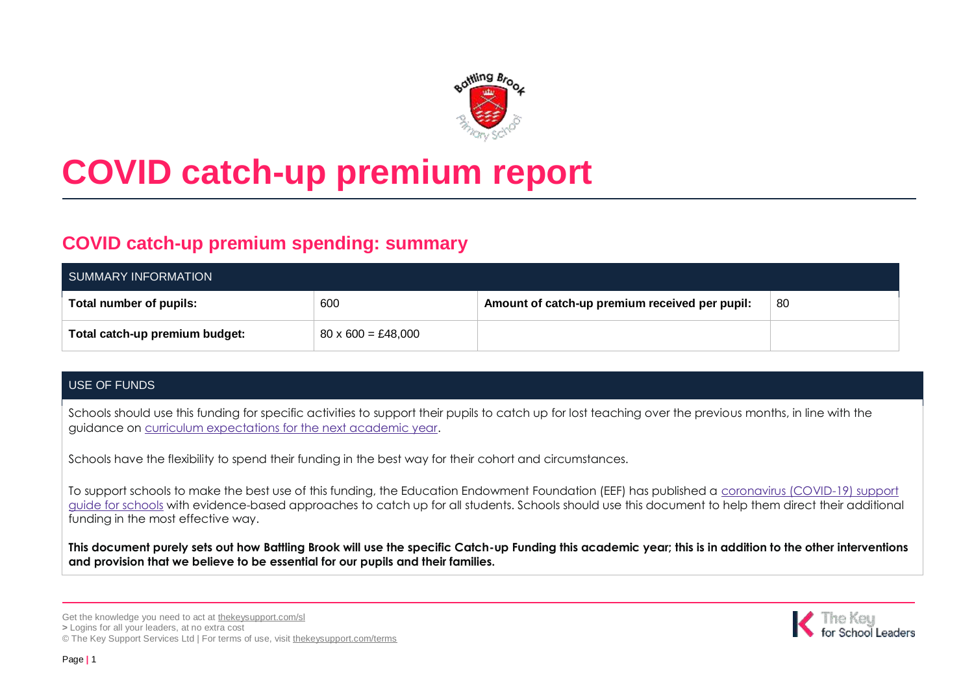

# **COVID catch-up premium report**

# **COVID catch-up premium spending: summary**

| SUMMARY INFORMATION            |                                        |                                                |     |  |  |  |
|--------------------------------|----------------------------------------|------------------------------------------------|-----|--|--|--|
| Total number of pupils:        | 600                                    | Amount of catch-up premium received per pupil: | -80 |  |  |  |
| Total catch-up premium budget: | $80 \times 600 = \text{\pounds}48,000$ |                                                |     |  |  |  |

## USE OF FUNDS

Schools should use this funding for specific activities to support their pupils to catch up for lost teaching over the previous months, in line with the guidance on [curriculum expectations for the next academic year.](https://www.gov.uk/government/publications/actions-for-schools-during-the-coronavirus-outbreak/guidance-for-full-opening-schools#section-3-curriculum-behaviour-and-pastoral-support)

Schools have the flexibility to spend their funding in the best way for their cohort and circumstances.

To support schools to make the best use of this funding, the Education Endowment Foundation (EEF) has published a [coronavirus \(COVID-19\) support](https://educationendowmentfoundation.org.uk/covid-19-resources/covid-19-support-guide-for-schools/#nav-covid-19-support-guide-for-schools1)  [guide for schools](https://educationendowmentfoundation.org.uk/covid-19-resources/covid-19-support-guide-for-schools/#nav-covid-19-support-guide-for-schools1) with evidence-based approaches to catch up for all students. Schools should use this document to help them direct their additional funding in the most effective way.

**This document purely sets out how Battling Brook will use the specific Catch-up Funding this academic year; this is in addition to the other interventions and provision that we believe to be essential for our pupils and their families.** 

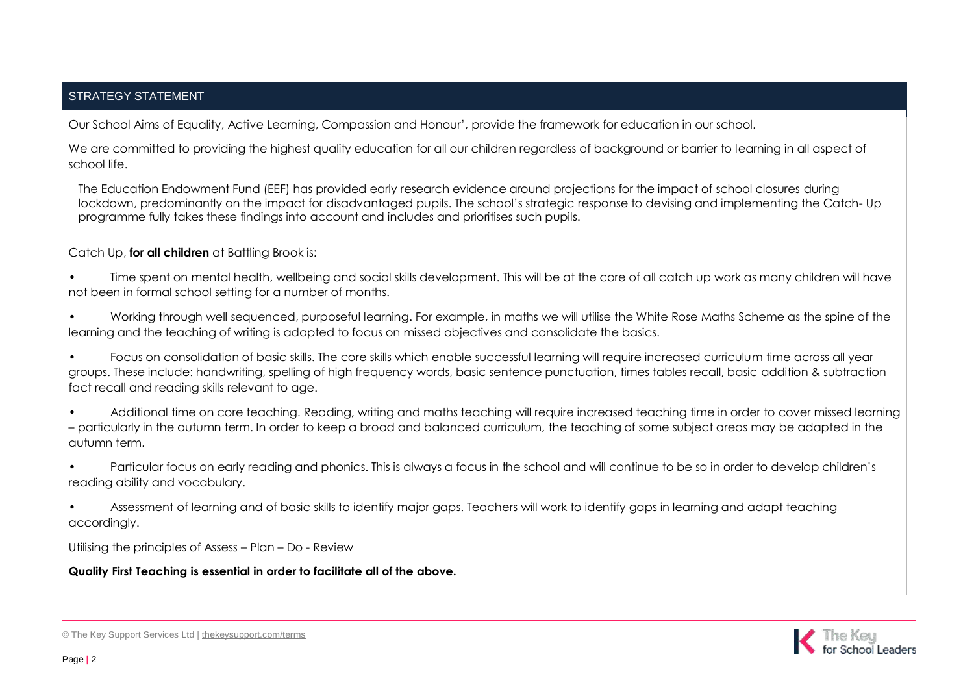## STRATEGY STATEMENT

Our School Aims of Equality, Active Learning, Compassion and Honour', provide the framework for education in our school.

We are committed to providing the highest quality education for all our children regardless of background or barrier to learning in all aspect of school life.

The Education Endowment Fund (EEF) has provided early research evidence around projections for the impact of school closures during lockdown, predominantly on the impact for disadvantaged pupils. The school's strategic response to devising and implementing the Catch- Up programme fully takes these findings into account and includes and prioritises such pupils.

#### Catch Up, **for all children** at Battling Brook is:

• Time spent on mental health, wellbeing and social skills development. This will be at the core of all catch up work as many children will have not been in formal school setting for a number of months.

• Working through well sequenced, purposeful learning. For example, in maths we will utilise the White Rose Maths Scheme as the spine of the learning and the teaching of writing is adapted to focus on missed objectives and consolidate the basics.

• Focus on consolidation of basic skills. The core skills which enable successful learning will require increased curriculum time across all year groups. These include: handwriting, spelling of high frequency words, basic sentence punctuation, times tables recall, basic addition & subtraction fact recall and reading skills relevant to age.

• Additional time on core teaching. Reading, writing and maths teaching will require increased teaching time in order to cover missed learning – particularly in the autumn term. In order to keep a broad and balanced curriculum, the teaching of some subject areas may be adapted in the autumn term.

• Particular focus on early reading and phonics. This is always a focus in the school and will continue to be so in order to develop children's reading ability and vocabulary.

• Assessment of learning and of basic skills to identify major gaps. Teachers will work to identify gaps in learning and adapt teaching accordingly.

Utilising the principles of Assess – Plan – Do - Review

**Quality First Teaching is essential in order to facilitate all of the above.**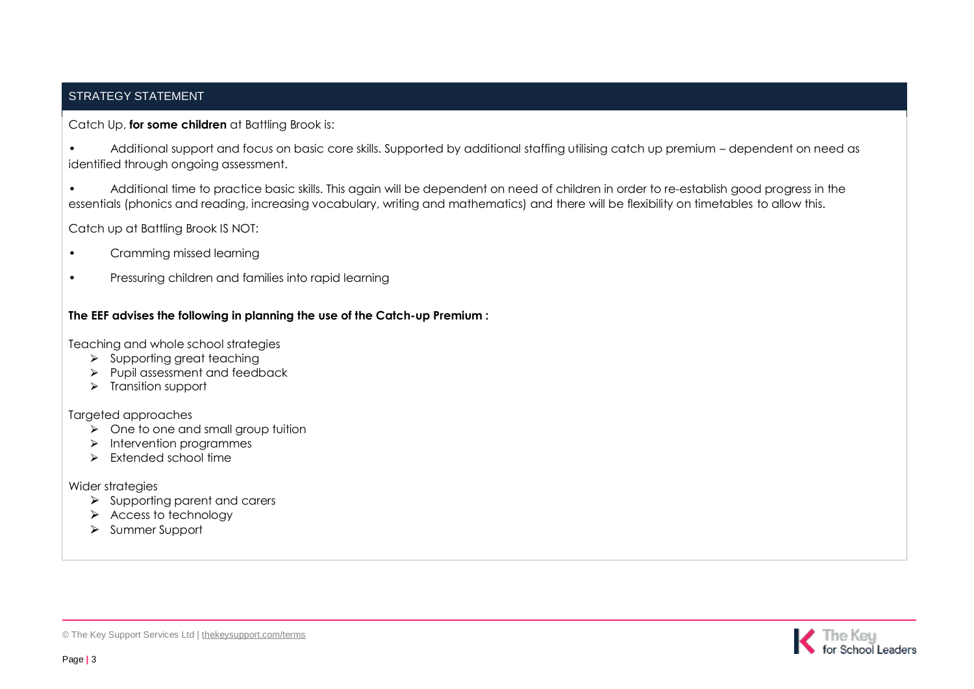## STRATEGY STATEMENT

#### Catch Up, **for some children** at Battling Brook is:

• Additional support and focus on basic core skills. Supported by additional staffing utilising catch up premium – dependent on need as identified through ongoing assessment.

• Additional time to practice basic skills. This again will be dependent on need of children in order to re-establish good progress in the essentials (phonics and reading, increasing vocabulary, writing and mathematics) and there will be flexibility on timetables to allow this.

Catch up at Battling Brook IS NOT:

- Cramming missed learning
- Pressuring children and families into rapid learning

#### **The EEF advises the following in planning the use of the Catch-up Premium :**

Teaching and whole school strategies

- ⮚ Supporting great teaching
- $\triangleright$  Pupil assessment and feedback
- > Transition support

Targeted approaches

- $\triangleright$  One to one and small group tuition
- > Intervention programmes
- $\triangleright$  Extended school time

Wider strategies

- $\triangleright$  Supporting parent and carers
- $\triangleright$  Access to technology
- ⮚ Summer Support

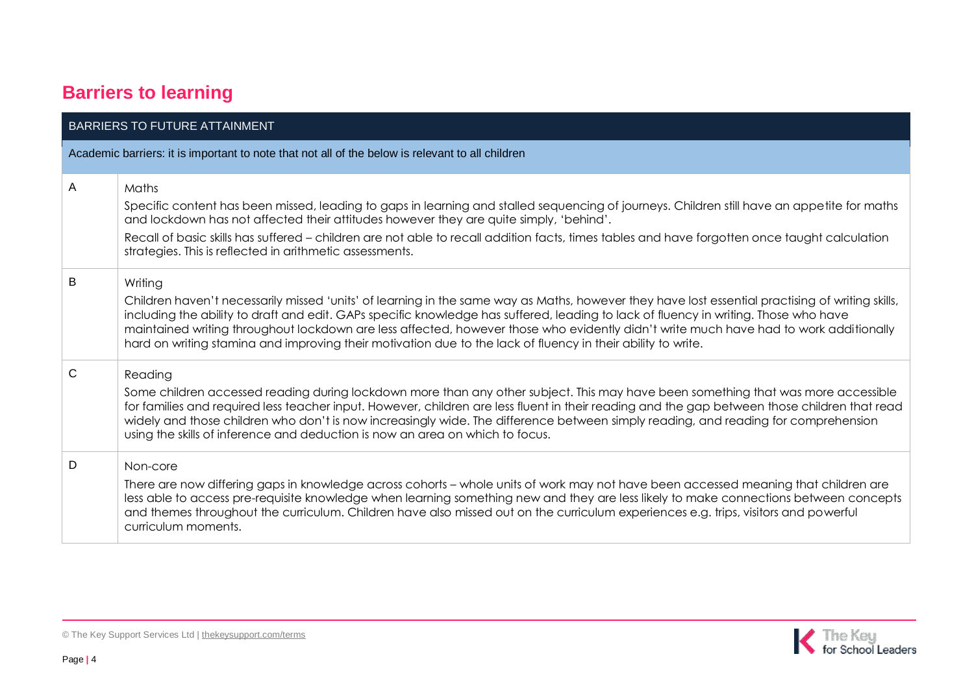# **Barriers to learning**

|   | <b>BARRIERS TO FUTURE ATTAINMENT</b>                                                                                                                                                                                                                                                                                                                                                                                                                                                                                                                         |
|---|--------------------------------------------------------------------------------------------------------------------------------------------------------------------------------------------------------------------------------------------------------------------------------------------------------------------------------------------------------------------------------------------------------------------------------------------------------------------------------------------------------------------------------------------------------------|
|   | Academic barriers: it is important to note that not all of the below is relevant to all children                                                                                                                                                                                                                                                                                                                                                                                                                                                             |
| A | Maths<br>Specific content has been missed, leading to gaps in learning and stalled sequencing of journeys. Children still have an appetite for maths<br>and lockdown has not affected their attitudes however they are quite simply, 'behind'.                                                                                                                                                                                                                                                                                                               |
|   | Recall of basic skills has suffered - children are not able to recall addition facts, times tables and have forgotten once taught calculation<br>strategies. This is reflected in arithmetic assessments.                                                                                                                                                                                                                                                                                                                                                    |
| B | Writing<br>Children haven't necessarily missed 'units' of learning in the same way as Maths, however they have lost essential practising of writing skills,<br>including the ability to draft and edit. GAPs specific knowledge has suffered, leading to lack of fluency in writing. Those who have<br>maintained writing throughout lockdown are less affected, however those who evidently didn't write much have had to work additionally<br>hard on writing stamina and improving their motivation due to the lack of fluency in their ability to write. |
| C | Reading<br>Some children accessed reading during lockdown more than any other subject. This may have been something that was more accessible<br>for families and required less teacher input. However, children are less fluent in their reading and the gap between those children that read<br>widely and those children who don't is now increasingly wide. The difference between simply reading, and reading for comprehension<br>using the skills of inference and deduction is now an area on which to focus.                                         |
| D | Non-core<br>There are now differing gaps in knowledge across cohorts – whole units of work may not have been accessed meaning that children are<br>less able to access pre-requisite knowledge when learning something new and they are less likely to make connections between concepts<br>and themes throughout the curriculum. Children have also missed out on the curriculum experiences e.g. trips, visitors and powerful<br>curriculum moments.                                                                                                       |

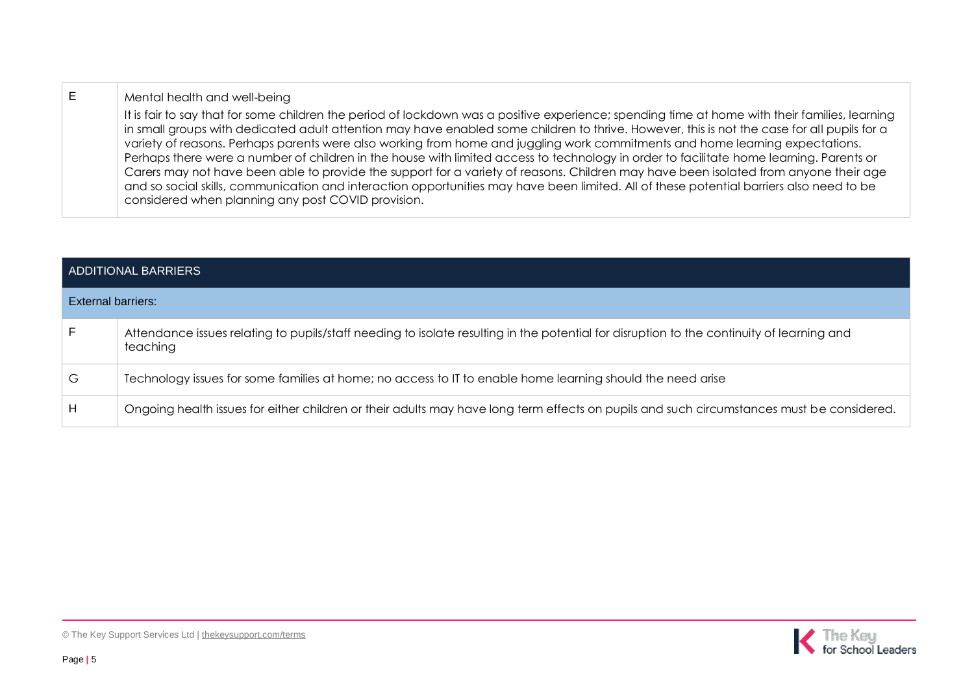### E | Mental health and well-being

It is fair to say that for some children the period of lockdown was a positive experience; spending time at home with their families, learning in small groups with dedicated adult attention may have enabled some children to thrive. However, this is not the case for all pupils for a variety of reasons. Perhaps parents were also working from home and juggling work commitments and home learning expectations. Perhaps there were a number of children in the house with limited access to technology in order to facilitate home learning. Parents or Carers may not have been able to provide the support for a variety of reasons. Children may have been isolated from anyone their age and so social skills, communication and interaction opportunities may have been limited. All of these potential barriers also need to be considered when planning any post COVID provision.

|                           | <b>ADDITIONAL BARRIERS</b>                                                                                                                            |
|---------------------------|-------------------------------------------------------------------------------------------------------------------------------------------------------|
| <b>External barriers:</b> |                                                                                                                                                       |
| F.                        | Attendance issues relating to pupils/staff needing to isolate resulting in the potential for disruption to the continuity of learning and<br>teaching |
| G                         | Technology issues for some families at home; no access to IT to enable home learning should the need arise                                            |
| H                         | Ongoing health issues for either children or their adults may have long term effects on pupils and such circumstances must be considered.             |

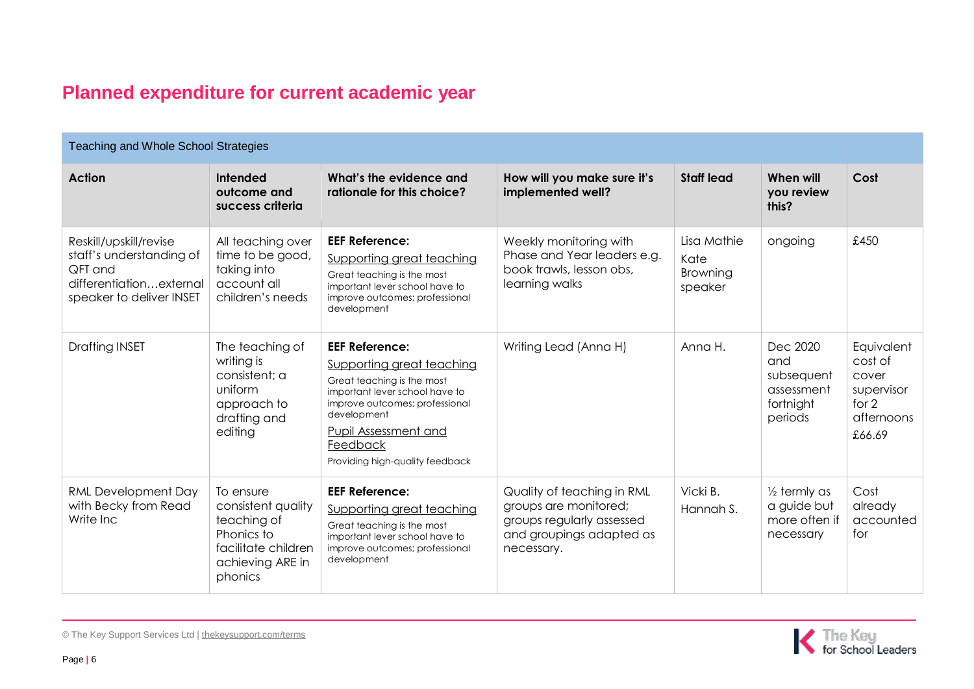# **Planned expenditure for current academic year**

| Teaching and Whole School Strategies                                                                                 |                                                                                                                    |                                                                                                                                                                                                                                            |                                                                                                                            |                                            |                                                                      |                                                                                 |
|----------------------------------------------------------------------------------------------------------------------|--------------------------------------------------------------------------------------------------------------------|--------------------------------------------------------------------------------------------------------------------------------------------------------------------------------------------------------------------------------------------|----------------------------------------------------------------------------------------------------------------------------|--------------------------------------------|----------------------------------------------------------------------|---------------------------------------------------------------------------------|
| <b>Action</b>                                                                                                        | Intended<br>outcome and<br>success criteria                                                                        | What's the evidence and<br>rationale for this choice?                                                                                                                                                                                      | How will you make sure it's<br>implemented well?                                                                           | <b>Staff lead</b>                          | When will<br>you review<br>this?                                     | Cost                                                                            |
| Reskill/upskill/revise<br>staff's understanding of<br>QFT and<br>differentiationexternal<br>speaker to deliver INSET | All teaching over<br>time to be good,<br>taking into<br>account all<br>children's needs                            | <b>EEF Reference:</b><br>Supporting great teaching<br>Great teaching is the most<br>important lever school have to<br>improve outcomes; professional<br>development                                                                        | Weekly monitoring with<br>Phase and Year leaders e.g.<br>book trawls, lesson obs,<br>learning walks                        | Lisa Mathie<br>Kate<br>Browning<br>speaker | ongoing                                                              | £450                                                                            |
| <b>Drafting INSET</b>                                                                                                | The teaching of<br>writing is<br>consistent: a<br>uniform<br>approach to<br>drafting and<br>editing                | <b>EEF Reference:</b><br>Supporting great teaching<br>Great teaching is the most<br>important lever school have to<br>improve outcomes; professional<br>development<br>Pupil Assessment and<br>Feedback<br>Providing high-quality feedback | Writing Lead (Anna H)                                                                                                      | Anna H.                                    | Dec 2020<br>and<br>subsequent<br>assessment<br>fortnight<br>periods  | Equivalent<br>cost of<br>cover<br>supervisor<br>for $2$<br>afternoons<br>£66.69 |
| RML Development Day<br>with Becky from Read<br>Write Inc                                                             | To ensure<br>consistent quality<br>teaching of<br>Phonics to<br>facilitate children<br>achieving ARE in<br>phonics | <b>EEF Reference:</b><br>Supporting great teaching<br>Great teaching is the most<br>important lever school have to<br>improve outcomes; professional<br>development                                                                        | Quality of teaching in RML<br>groups are monitored;<br>groups regularly assessed<br>and groupings adapted as<br>necessary. | Vicki B.<br>Hannah S.                      | $\frac{1}{2}$ termly as<br>a guide but<br>more often if<br>necessary | Cost<br>already<br>accounted<br>for                                             |



© The Key Support Services Ltd | [thekeysupport.com/terms](https://thekeysupport.com/terms-of-use)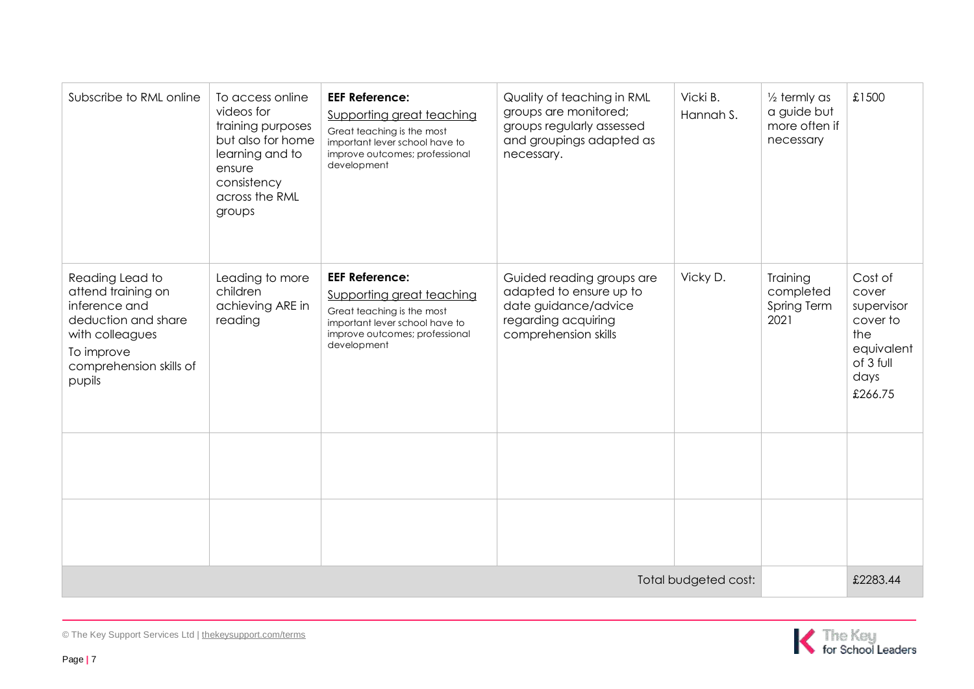| Subscribe to RML online                                                                                                                             | To access online<br>videos for<br>training purposes<br>but also for home<br>learning and to<br>ensure<br>consistency<br>across the RML<br>groups | <b>EEF Reference:</b><br>Supporting great teaching<br>Great teaching is the most<br>important lever school have to<br>improve outcomes; professional<br>development | Quality of teaching in RML<br>groups are monitored;<br>groups regularly assessed<br>and groupings adapted as<br>necessary.  | Vicki B.<br>Hannah S. | $\frac{1}{2}$ termly as<br>a guide but<br>more often if<br>necessary | £1500                                                                                           |
|-----------------------------------------------------------------------------------------------------------------------------------------------------|--------------------------------------------------------------------------------------------------------------------------------------------------|---------------------------------------------------------------------------------------------------------------------------------------------------------------------|-----------------------------------------------------------------------------------------------------------------------------|-----------------------|----------------------------------------------------------------------|-------------------------------------------------------------------------------------------------|
| Reading Lead to<br>attend training on<br>inference and<br>deduction and share<br>with colleagues<br>To improve<br>comprehension skills of<br>pupils | Leading to more<br>children<br>achieving ARE in<br>reading                                                                                       | <b>EEF Reference:</b><br>Supporting great teaching<br>Great teaching is the most<br>important lever school have to<br>improve outcomes; professional<br>development | Guided reading groups are<br>adapted to ensure up to<br>date guidance/advice<br>regarding acquiring<br>comprehension skills | Vicky D.              | Training<br>completed<br>Spring Term<br>2021                         | Cost of<br>cover<br>supervisor<br>cover to<br>the<br>equivalent<br>of 3 full<br>days<br>£266.75 |
|                                                                                                                                                     |                                                                                                                                                  |                                                                                                                                                                     |                                                                                                                             |                       |                                                                      |                                                                                                 |
|                                                                                                                                                     |                                                                                                                                                  |                                                                                                                                                                     |                                                                                                                             |                       |                                                                      |                                                                                                 |
| Total budgeted cost:                                                                                                                                |                                                                                                                                                  |                                                                                                                                                                     |                                                                                                                             |                       |                                                                      | £2283.44                                                                                        |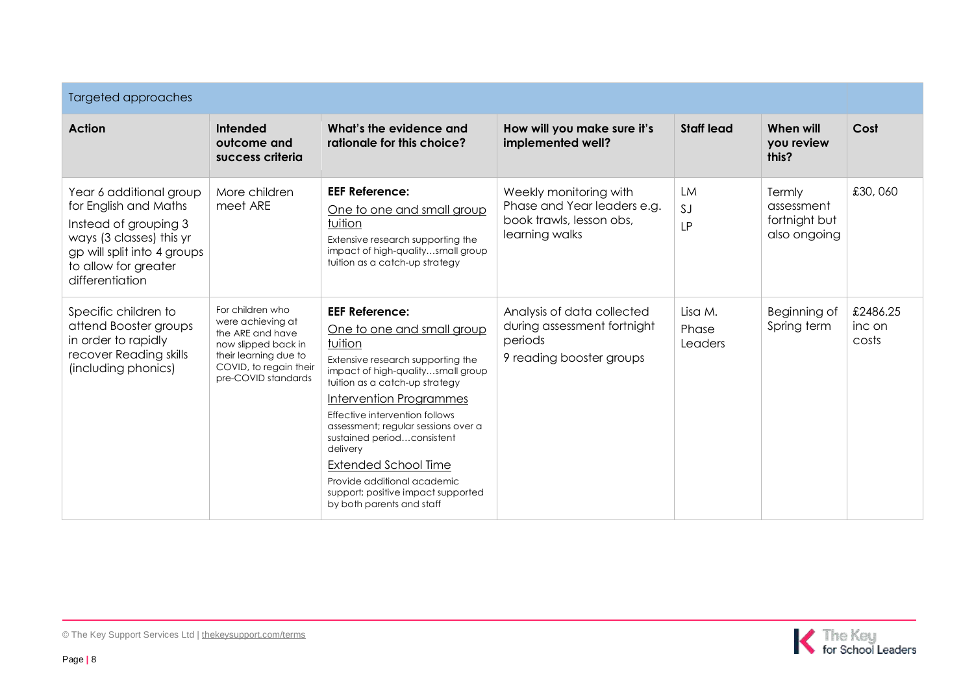| <b>Targeted approaches</b>                                                                                                                                                      |                                                                                                                                                            |                                                                                                                                                                                                                                                                                                                                                                                                                                                                  |                                                                                                     |                              |                                                       |                             |
|---------------------------------------------------------------------------------------------------------------------------------------------------------------------------------|------------------------------------------------------------------------------------------------------------------------------------------------------------|------------------------------------------------------------------------------------------------------------------------------------------------------------------------------------------------------------------------------------------------------------------------------------------------------------------------------------------------------------------------------------------------------------------------------------------------------------------|-----------------------------------------------------------------------------------------------------|------------------------------|-------------------------------------------------------|-----------------------------|
| Action                                                                                                                                                                          | Intended<br>outcome and<br>success criteria                                                                                                                | What's the evidence and<br>rationale for this choice?                                                                                                                                                                                                                                                                                                                                                                                                            | How will you make sure it's<br>implemented well?                                                    | <b>Staff lead</b>            | When will<br>you review<br>this?                      | Cost                        |
| Year 6 additional group<br>for English and Maths<br>Instead of grouping 3<br>ways (3 classes) this yr<br>gp will split into 4 groups<br>to allow for greater<br>differentiation | More children<br>meet ARE                                                                                                                                  | <b>EEF Reference:</b><br>One to one and small group<br>tuition<br>Extensive research supporting the<br>impact of high-qualitysmall group<br>tuition as a catch-up strategy                                                                                                                                                                                                                                                                                       | Weekly monitoring with<br>Phase and Year leaders e.g.<br>book trawls, lesson obs,<br>learning walks | <b>LM</b><br>SJ<br><b>LP</b> | Termly<br>assessment<br>fortnight but<br>also ongoing | £30,060                     |
| Specific children to<br>attend Booster groups<br>in order to rapidly<br>recover Reading skills<br>(including phonics)                                                           | For children who<br>were achieving at<br>the ARE and have<br>now slipped back in<br>their learning due to<br>COVID, to regain their<br>pre-COVID standards | <b>EEF Reference:</b><br>One to one and small group<br>tuition<br>Extensive research supporting the<br>impact of high-qualitysmall group<br>tuition as a catch-up strategy<br><b>Intervention Programmes</b><br>Effective intervention follows<br>assessment; regular sessions over a<br>sustained periodconsistent<br>delivery<br><b>Extended School Time</b><br>Provide additional academic<br>support; positive impact supported<br>by both parents and staff | Analysis of data collected<br>during assessment fortnight<br>periods<br>9 reading booster groups    | Lisa M.<br>Phase<br>Leaders  | Beginning of<br>Spring term                           | £2486.25<br>inc on<br>costs |

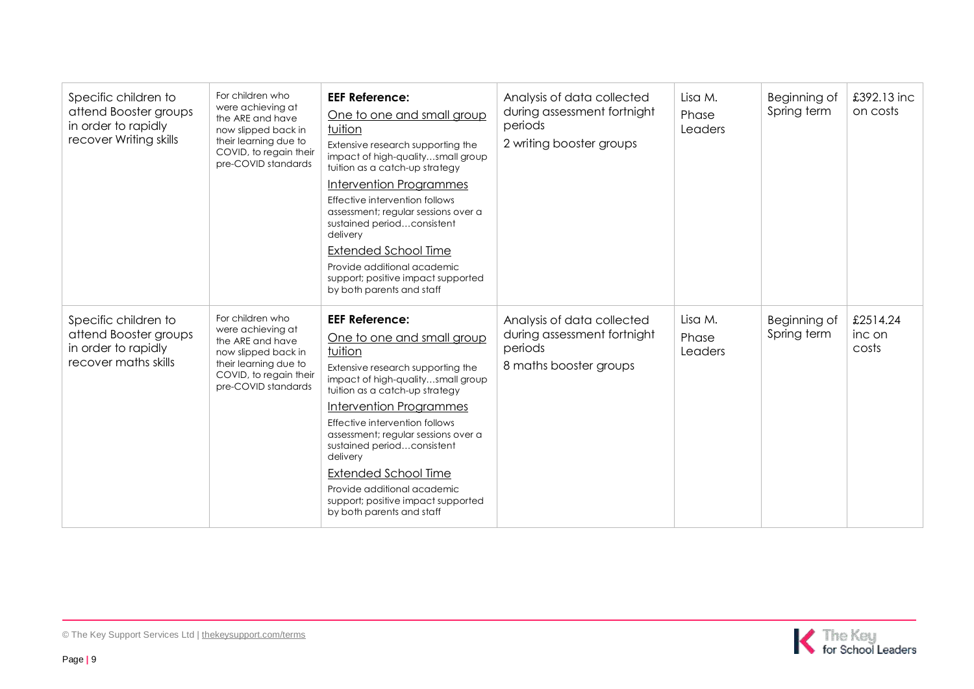| Specific children to<br>attend Booster groups<br>in order to rapidly<br>recover Writing skills | For children who<br>were achieving at<br>the ARE and have<br>now slipped back in<br>their learning due to<br>COVID, to regain their<br>pre-COVID standards | <b>EEF Reference:</b><br>One to one and small group<br>tuition<br>Extensive research supporting the<br>impact of high-qualitysmall group<br>tuition as a catch-up strategy<br>Intervention Programmes<br>Effective intervention follows<br>assessment; regular sessions over a<br>sustained periodconsistent<br>delivery<br><b>Extended School Time</b><br>Provide additional academic<br>support; positive impact supported<br>by both parents and staff | Analysis of data collected<br>during assessment fortnight<br>periods<br>2 writing booster groups | Lisa M.<br>Phase<br>Leaders | Beginning of<br>Spring term | £392.13 inc<br>on costs     |
|------------------------------------------------------------------------------------------------|------------------------------------------------------------------------------------------------------------------------------------------------------------|-----------------------------------------------------------------------------------------------------------------------------------------------------------------------------------------------------------------------------------------------------------------------------------------------------------------------------------------------------------------------------------------------------------------------------------------------------------|--------------------------------------------------------------------------------------------------|-----------------------------|-----------------------------|-----------------------------|
| Specific children to<br>attend Booster groups<br>in order to rapidly<br>recover maths skills   | For children who<br>were achieving at<br>the ARE and have<br>now slipped back in<br>their learning due to<br>COVID, to regain their<br>pre-COVID standards | <b>EEF Reference:</b><br>One to one and small group<br>tuition<br>Extensive research supporting the<br>impact of high-qualitysmall group<br>tuition as a catch-up strategy<br>Intervention Programmes<br>Effective intervention follows<br>assessment; regular sessions over a<br>sustained periodconsistent<br>delivery<br><b>Extended School Time</b><br>Provide additional academic<br>support; positive impact supported<br>by both parents and staff | Analysis of data collected<br>during assessment fortnight<br>periods<br>8 maths booster groups   | Lisa M.<br>Phase<br>Leaders | Beginning of<br>Spring term | £2514.24<br>inc on<br>costs |

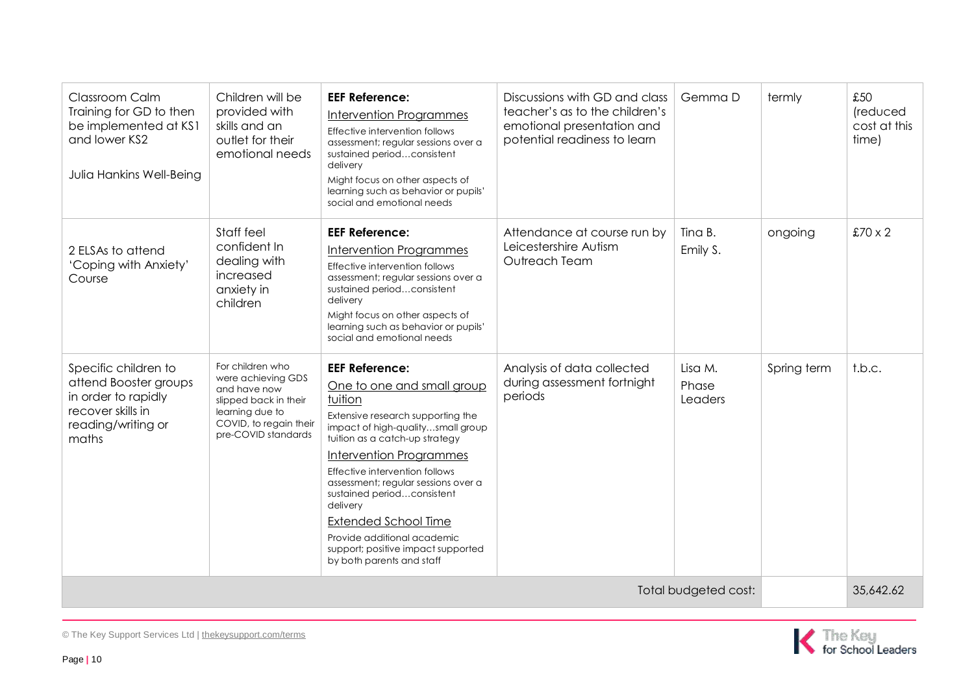| <b>Classroom Calm</b><br>Training for GD to then<br>be implemented at KS1<br>and lower KS2<br>Julia Hankins Well-Being   | Children will be<br>provided with<br>skills and an<br>outlet for their<br>emotional needs                                                           | <b>EEF Reference:</b><br><b>Intervention Programmes</b><br>Effective intervention follows<br>assessment; regular sessions over a<br>sustained periodconsistent<br>delivery<br>Might focus on other aspects of<br>learning such as behavior or pupils'<br>social and emotional needs                                                                                                                                                                       | Discussions with GD and class<br>teacher's as to the children's<br>emotional presentation and<br>potential readiness to learn | Gemma D                     | termly      | £50<br>(reduced<br>cost at this<br>time) |
|--------------------------------------------------------------------------------------------------------------------------|-----------------------------------------------------------------------------------------------------------------------------------------------------|-----------------------------------------------------------------------------------------------------------------------------------------------------------------------------------------------------------------------------------------------------------------------------------------------------------------------------------------------------------------------------------------------------------------------------------------------------------|-------------------------------------------------------------------------------------------------------------------------------|-----------------------------|-------------|------------------------------------------|
| 2 ELSAs to attend<br>'Coping with Anxiety'<br>Course                                                                     | Staff feel<br>confident In<br>dealing with<br>increased<br>anxiety in<br>children                                                                   | <b>EEF Reference:</b><br>Intervention Programmes<br>Effective intervention follows<br>assessment; regular sessions over a<br>sustained periodconsistent<br>delivery<br>Might focus on other aspects of<br>learning such as behavior or pupils'<br>social and emotional needs                                                                                                                                                                              | Attendance at course run by<br>Leicestershire Autism<br>Outreach Team                                                         | Tina B.<br>Emily S.         | ongoing     | $£70 \times 2$                           |
| Specific children to<br>attend Booster groups<br>in order to rapidly<br>recover skills in<br>reading/writing or<br>maths | For children who<br>were achieving GDS<br>and have now<br>slipped back in their<br>learning due to<br>COVID, to regain their<br>pre-COVID standards | <b>EEF Reference:</b><br>One to one and small group<br>tuition<br>Extensive research supporting the<br>impact of high-qualitysmall group<br>tuition as a catch-up strategy<br>Intervention Programmes<br>Effective intervention follows<br>assessment; regular sessions over a<br>sustained periodconsistent<br>delivery<br><b>Extended School Time</b><br>Provide additional academic<br>support; positive impact supported<br>by both parents and staff | Analysis of data collected<br>during assessment fortnight<br>periods                                                          | Lisa M.<br>Phase<br>Leaders | Spring term | t.b.c.                                   |
| Total budgeted cost:                                                                                                     |                                                                                                                                                     |                                                                                                                                                                                                                                                                                                                                                                                                                                                           |                                                                                                                               |                             |             | 35,642.62                                |